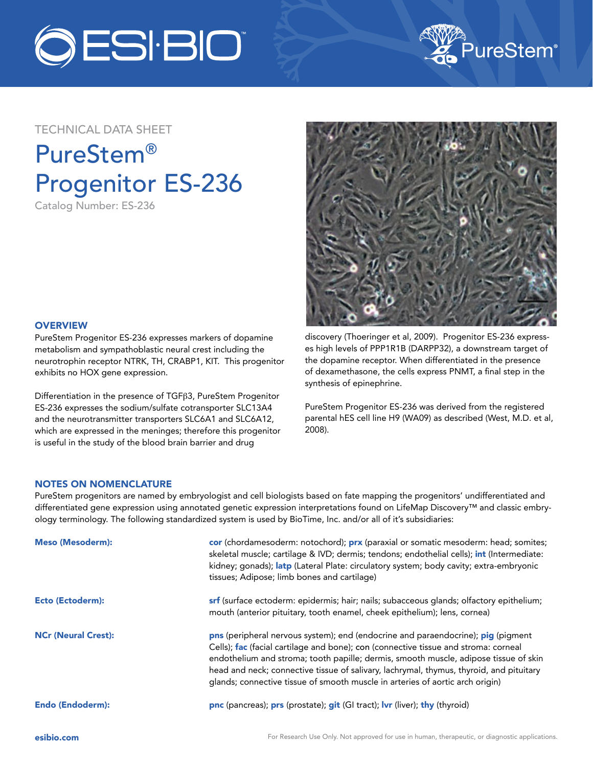



## TECHNICAL DATA SHEET

# PureStem® Progenitor ES-236

Catalog Number: ES-236



### **OVERVIEW**

PureStem Progenitor ES-236 expresses markers of dopamine metabolism and sympathoblastic neural crest including the neurotrophin receptor NTRK, TH, CRABP1, KIT. This progenitor exhibits no HOX gene expression.

Differentiation in the presence of TGFβ3, PureStem Progenitor ES-236 expresses the sodium/sulfate cotransporter SLC13A4 and the neurotransmitter transporters SLC6A1 and SLC6A12, which are expressed in the meninges; therefore this progenitor is useful in the study of the blood brain barrier and drug

discovery (Thoeringer et al, 2009). Progenitor ES-236 expresses high levels of PPP1R1B (DARPP32), a downstream target of the dopamine receptor. When differentiated in the presence of dexamethasone, the cells express PNMT, a final step in the synthesis of epinephrine.

PureStem Progenitor ES-236 was derived from the registered parental hES cell line H9 (WA09) as described (West, M.D. et al, 2008).

### NOTES ON NOMENCLATURE

PureStem progenitors are named by embryologist and cell biologists based on fate mapping the progenitors' undifferentiated and differentiated gene expression using annotated genetic expression interpretations found on LifeMap Discovery™ and classic embryology terminology. The following standardized system is used by BioTime, Inc. and/or all of it's subsidiaries:

| <b>Meso (Mesoderm):</b>    | cor (chordamesoderm: notochord); prx (paraxial or somatic mesoderm: head; somites;<br>skeletal muscle; cartilage & IVD; dermis; tendons; endothelial cells); int (Intermediate:<br>kidney; gonads); latp (Lateral Plate: circulatory system; body cavity; extra-embryonic<br>tissues; Adipose; limb bones and cartilage)                                                                                                                    |
|----------------------------|---------------------------------------------------------------------------------------------------------------------------------------------------------------------------------------------------------------------------------------------------------------------------------------------------------------------------------------------------------------------------------------------------------------------------------------------|
| Ecto (Ectoderm):           | <b>srf</b> (surface ectoderm: epidermis; hair; nails; subacceous glands; olfactory epithelium;<br>mouth (anterior pituitary, tooth enamel, cheek epithelium); lens, cornea)                                                                                                                                                                                                                                                                 |
| <b>NCr (Neural Crest):</b> | pns (peripheral nervous system); end (endocrine and paraendocrine); pig (pigment<br>Cells); fac (facial cartilage and bone); con (connective tissue and stroma: corneal<br>endothelium and stroma; tooth papille; dermis, smooth muscle, adipose tissue of skin<br>head and neck; connective tissue of salivary, lachrymal, thymus, thyroid, and pituitary<br>glands; connective tissue of smooth muscle in arteries of aortic arch origin) |
| <b>Endo (Endoderm):</b>    | <b>pnc</b> (pancreas); <b>prs</b> (prostate); <b>git</b> (GI tract); <b>lvr</b> (liver); <b>thy</b> (thyroid)                                                                                                                                                                                                                                                                                                                               |